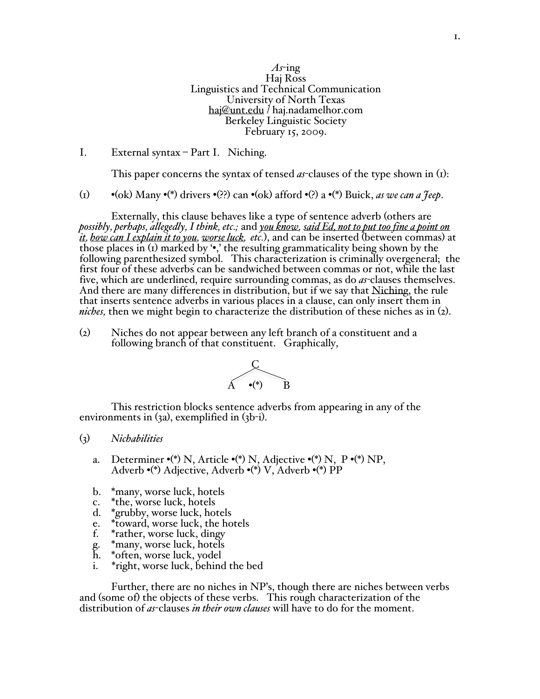*As*-ing Haj Ross Linguistics and Technical Communication University of North Texas haj@unt.edu / haj.nadamelhor.com Berkeley Linguistic Society February 15, 2009.

## I. External syntax – Part I. Niching.

This paper concerns the syntax of tensed *as*-clauses of the type shown in (1):

(1) •(ok) Many •(\*) drivers •(??) can •(ok) afford •(?) a •(\*) Buick, *as we can a Jeep*.

Externally, this clause behaves like a type of sentence adverb (others are *possibly, perhaps, allegedly, I think, etc.;* and *you know, said Ed, not to put too fine a point on it, how can I explain it to you, worse luck, etc.*), and can be inserted (between commas) at those places in  $(i)$  marked by  $\cdot\cdot$ , the resulting grammaticality being shown by the following parenthesized symbol. This characterization is criminally overgeneral; the first four of these adverbs can be sandwiched between commas or not, while the last five, which are underlined, require surrounding commas, as do *as-*clauses themselves. And there are many differences in distribution, but if we say that Niching, the rule that inserts sentence adverbs in various places in a clause, can only insert them in *niches,* then we might begin to characterize the distribution of these niches as in (2).

(2) Niches do not appear between any left branch of a constituent and a following branch of that constituent. Graphically,



This restriction blocks sentence adverbs from appearing in any of the environments in (3a), exemplified in (3b-i).

## (3) *Nichabilities*

- a. Determiner  $\cdot$ (\*) N, Article  $\cdot$ (\*) N, Adjective  $\cdot$ (\*) N, P $\cdot$ (\*) NP, Adverb •(\*) Adjective, Adverb •(\*) V, Adverb •(\*) PP
- b. \*many, worse luck, hotels<br>c. \*the, worse luck, hotels
- \*the, worse luck, hotels
- d. \*grubby, worse luck, hotels
- e. \*toward, worse luck, the hotels
- f. \*rather, worse luck, dingy
- g. \*many, worse luck, hotels
- h. \*often, worse luck, yodel
	- i. \*right, worse luck, behind the bed

Further, there are no niches in NP's, though there are niches between verbs and (some of) the objects of these verbs. This rough characterization of the distribution of *as*-clauses *in their own clauses* will have to do for the moment.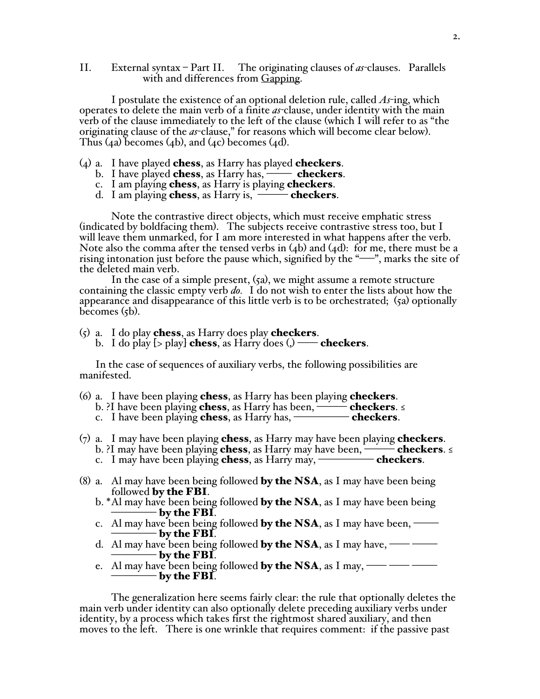II. External syntax – Part II. The originating clauses of *as-*clauses. Parallels with and differences from Gapping.

I postulate the existence of an optional deletion rule, called *As*-ing, which operates to delete the main verb of a finite *as-*clause, under identity with the main verb of the clause immediately to the left of the clause (which I will refer to as "the originating clause of the *as*-clause," for reasons which will become clear below). Thus  $(4a)$  becomes  $(4b)$ , and  $(4c)$  becomes  $(4d)$ .

- $(4)$  a. I have played **chess**, as Harry has played **checkers**.
	- b. I have played chess, as Harry has,  $\overline{\phantom{a}}$  checkers.
	- c. I am playing chess, as Harry is playing checkers.
	- d. I am playing chess, as Harry is,  $\overline{\phantom{a}}$  checkers.

Note the contrastive direct objects, which must receive emphatic stress (indicated by boldfacing them). The subjects receive contrastive stress too, but I will leave them unmarked, for I am more interested in what happens after the verb. Note also the comma after the tensed verbs in  $(4b)$  and  $(4d)$ : for me, there must be a rising intonation just before the pause which, signified by the "–––", marks the site of the deleted main verb.

In the case of a simple present, (5a), we might assume a remote structure containing the classic empty verb *do.* I do not wish to enter the lists about how the appearance and disappearance of this little verb is to be orchestrated; (5a) optionally becomes  $(5b)$ .

- $(5)$  a. I do play chess, as Harry does play checkers.
	- b. I do play  $[>$  play] chess, as Harry does  $()$  checkers.

In the case of sequences of auxiliary verbs, the following possibilities are manifested.

- (6) a. I have been playing **chess**, as Harry has been playing **checkers**.
- b. ?I have been playing **chess**, as Harry has been,  $\longrightarrow$  **checkers**. ≤ c. I have been playing **chess**, as Harry has, **Hellocally Checkers**.
- $(7)$  a. I may have been playing **chess**, as Harry may have been playing **checkers**. b. ?I may have been playing **chess**, as Harry may have been,  $\longrightarrow$  **checkers**. ≤ c. I may have been playing **chess**, as Harry may, **example 2** checkers.
- (8) a. Al may have been being followed **by the NSA**, as I may have been being followed by the FBI.
	- b. \*Al may have been being followed **by the NSA**, as I may have been being – by the FBI.  $\,$
	- c. Al may have been being followed by the NSA, as I may have been,  $$ by the FBI.
	- d. Al may have been being followed by the NSA, as I may have,  $\frac{1}{\sqrt{2\pi}}$ – by the FBI.  $\,$
	- e. Al may have been being followed **by the NSA**, as I may,  $\frac{1}{1-\epsilon}$  $-$  by the FBI.

The generalization here seems fairly clear: the rule that optionally deletes the main verb under identity can also optionally delete preceding auxiliary verbs under identity, by a process which takes first the rightmost shared auxiliary, and then moves to the left. There is one wrinkle that requires comment: if the passive past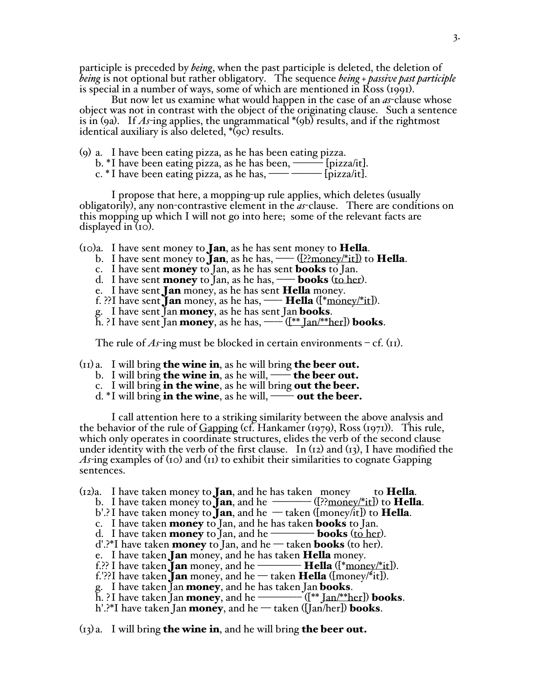participle is preceded by *being*, when the past participle is deleted, the deletion of *being* is not optional but rather obligatory. The sequence *being + passive past participle* is special in a number of ways, some of which are mentioned in Ross (1991).

But now let us examine what would happen in the case of an *as*-clause whose object was not in contrast with the object of the originating clause. Such a sentence is in (9a). If *As-*ing applies, the ungrammatical \*(9b) results, and if the rightmost identical auxiliary is also deleted, \*(9c) results.

(9) a. I have been eating pizza, as he has been eating pizza.

- b. \*I have been eating pizza, as he has been, ——— [pizza/it].
- c. \* I have been eating pizza, as he has, —— ——— [pizza/it].

I propose that here, a mopping-up rule applies, which deletes (usually obligatorily), any non-contrastive element in the *as*-clause. There are conditions on this mopping up which I will not go into here; some of the relevant facts are displayed in (10).

 $(10)a$ . I have sent money to **Jan**, as he has sent money to **Hella**.

- b. I have sent money to **Jan**, as he has,  $\frac{(\frac{1}{2} \cdot \text{money}/\text{*} \cdot \text{it})}{\text{to Hella}}$ .
- c. I have sent **money** to Jan, as he has sent **books** to Jan.
- d. I have sent **money** to Jan, as he has, **—– books** (to her).
- e. I have sent **Jan** money, as he has sent **Hella** money.
- f. ??I have sent **Jan** money, as he has,  $\qquad \qquad$  **Hella** ( $\text{[*money/*it]}$ ).

g. I have sent Jan money, as he has sent Jan books.

h. ?I have sent Jan **money**, as he has,  $\underline{\hspace{1cm}}(\mathbb{I}^* \tan/\mathbb{I}^* \tan)$  **books**.

The rule of  $As$ -ing must be blocked in certain environments – cf. ( $_{II}$ ).

 $(n)$  a. I will bring **the wine in**, as he will bring **the beer out.** 

- b. I will bring **the wine in**, as he will, **——** the beer out.
- c. I will bring in the wine, as he will bring out the beer.
- d.  $*$ I will bring in the wine, as he will, —— out the beer.

I call attention here to a striking similarity between the above analysis and the behavior of the rule of Gapping (cf. Hankamer (1979), Ross (1971)). This rule, which only operates in coordinate structures, elides the verb of the second clause under identity with the verb of the first clause. In (12) and (13), I have modified the *As-*ing examples of (10) and (11) to exhibit their similarities to cognate Gapping sentences.

 $(i_2)a$ . I have taken money to **Jan**, and he has taken money to **Hella**.

b. I have taken money to  $\bar{J}$ an, and he  $\frac{(-1)^n}{n}$  ([??money/\*it]) to **Hella**.

- b'.? I have taken money to **Jan**, and he  $-$  taken ([money/it]) to **Hella**.
- c. I have taken **money** to Jan, and he has taken **books** to Jan.<br>d. I have taken **money** to Jan, and he **comey books** (to her).
- d. I have taken **money** to Jan, and he
- $d'.$ <sup>2\*</sup>I have taken **money** to Jan, and he taken **books** (to her).
- e. I have taken **Jan** money, and he has taken **Hella** money.
- f.?? I have taken **Jan** money, and he  $\qquad \qquad \text{Hella}$  ([\*money/\*it]).
- f.'??I have taken **Jan** money, and he taken **Hella** ( $\{money/*(it)\}$ ). g. I have taken Jan **money**, and he has taken Jan **books**.
- 
- h. ?I have taken Jan **money**, and he  $(\ast \tan \theta)$  books.
- h'.?\*I have taken Jan **money**, and he taken ([Jan/her]) **books**.

 $(i)$  a. I will bring **the wine in**, and he will bring **the beer out.**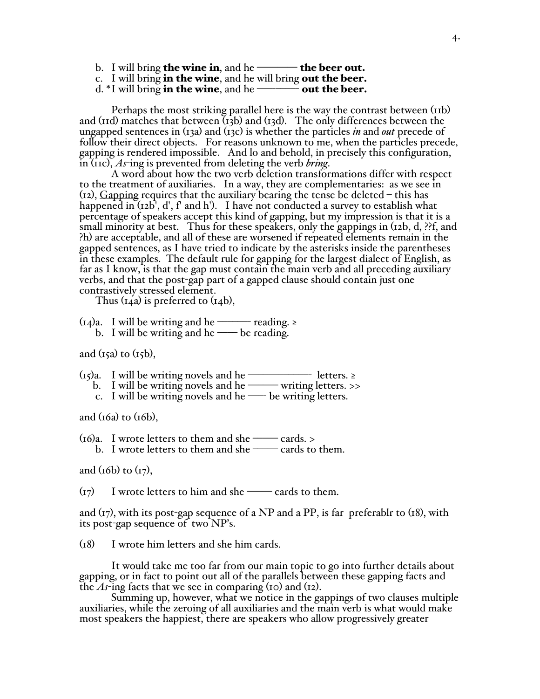- b. I will bring the wine in, and he  $\equiv$  the beer out.
- c. I will bring in the wine, and he will bring out the beer.
- d.  $*$ I will bring in the wine, and he  $\frac{+}{-}$  out the beer.

Perhaps the most striking parallel here is the way the contrast between (11b) and (11d) matches that between  $\overline{(13b)}$  and  $\overline{(13d)}$ . The only differences between the ungapped sentences in (13a) and (13c) is whether the particles *in* and *out* precede of follow their direct objects. For reasons unknown to me, when the particles precede, gapping is rendered impossible. And lo and behold, in precisely this configuration, in (11c), *As*-ing is prevented from deleting the verb *bring*.

A word about how the two verb deletion transformations differ with respect to the treatment of auxiliaries. In a way, they are complementaries: as we see in (12), Gapping requires that the auxiliary bearing the tense be deleted – this has happened in  $(I_2b', d', f'$  and h'). I have not conducted a survey to establish what percentage of speakers accept this kind of gapping, but my impression is that it is a small minority at best. Thus for these speakers, only the gappings in (12b, d, ??f, and ?h) are acceptable, and all of these are worsened if repeated elements remain in the gapped sentences, as I have tried to indicate by the asterisks inside the parentheses in these examples. The default rule for gapping for the largest dialect of English, as far as I know, is that the gap must contain the main verb and all preceding auxiliary verbs, and that the post-gap part of a gapped clause should contain just one contrastively stressed element.

Thus  $(i4a)$  is preferred to  $(i4b)$ ,

(14)a. I will be writing and he ––––––- reading. ≥ b. I will be writing and he —– be reading.

and  $(i5a)$  to  $(i5b)$ ,

- $(r_5)a$ . I will be writing novels and he –––––––––––––––– letters. ≥
- b. I will be writing novels and he –––––– writing letters. >>
	- c. I will be writing novels and he —– be writing letters.

and  $(t6a)$  to  $(t6b)$ ,

 $(16)a$ . I wrote letters to them and she —— cards. > b. I wrote letters to them and she  $\equiv$  cards to them.

and  $(t6b)$  to  $(t7)$ ,

 $(r_7)$  I wrote letters to him and she —— cards to them.

and  $(r_7)$ , with its post-gap sequence of a NP and a PP, is far preferablr to  $(18)$ , with its post-gap sequence of two NP's.

(18) I wrote him letters and she him cards.

It would take me too far from our main topic to go into further details about gapping, or in fact to point out all of the parallels between these gapping facts and the *As*-ing facts that we see in comparing (10) and (12).

Summing up, however, what we notice in the gappings of two clauses multiple auxiliaries, while the zeroing of all auxiliaries and the main verb is what would make most speakers the happiest, there are speakers who allow progressively greater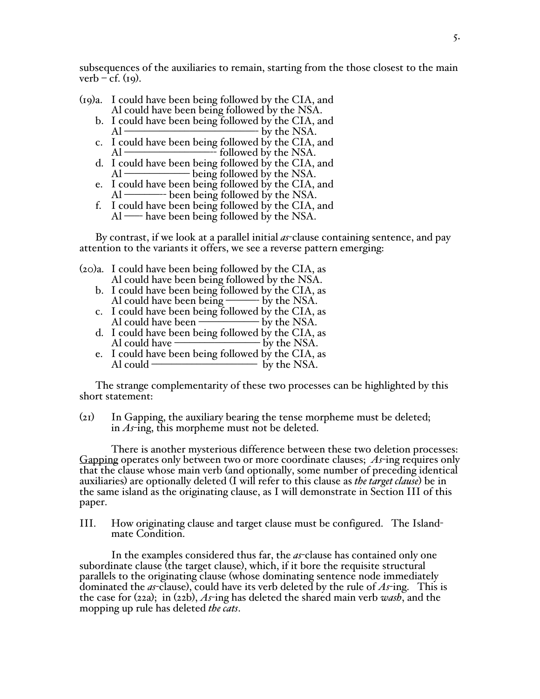subsequences of the auxiliaries to remain, starting from the those closest to the main verb – cf. (19).

- (19)a. I could have been being followed by the CIA, and Al could have been being followed by the NSA.
	- b. I could have been being followed by the CIA, and  $Al \longrightarrow$  by the NSA.
	- c. I could have been being followed by the CIA, and Al –––––––––––––––––-- followed by the NSA.
	- d. I could have been being followed by the CIA, and Al ––––––––––––– being followed by the NSA.
	- e. I could have been being followed by the CIA, and Al –––––––-- been being followed by the NSA.
	- f. I could have been being followed by the CIA, and Al —– have been being followed by the NSA.

By contrast, if we look at a parallel initial *as*-clause containing sentence, and pay attention to the variants it offers, we see a reverse pattern emerging:

(20)a. I could have been being followed by the CIA, as Al could have been being followed by the NSA.

- b. I could have been being followed by the CIA, as Al could have been being ––––––- by the NSA.
- c. I could have been being followed by the CIA, as<br>Al could have been being by the NSA. Al could have been  $-$
- d. I could have been being followed by the CIA, as Al could have  $-$
- e. I could have been being followed by the CIA, as Al could ––––––––––––––––––––– by the NSA.

The strange complementarity of these two processes can be highlighted by this short statement:

(21) In Gapping, the auxiliary bearing the tense morpheme must be deleted; in *As*-ing, this morpheme must not be deleted.

There is another mysterious difference between these two deletion processes: Gapping operates only between two or more coordinate clauses; *As*-ing requires only that the clause whose main verb (and optionally, some number of preceding identical auxiliaries) are optionally deleted (I will refer to this clause as *the target clause*) be in the same island as the originating clause, as I will demonstrate in Section III of this paper.

III. How originating clause and target clause must be configured. The Islandmate Condition.

In the examples considered thus far, the *as*-clause has contained only one subordinate clause (the target clause), which, if it bore the requisite structural parallels to the originating clause (whose dominating sentence node immediately dominated the *as*-clause), could have its verb deleted by the rule of *As*-ing. This is the case for (22a); in (22b), *As*-ing has deleted the shared main verb *wash*, and the mopping up rule has deleted *the cats*.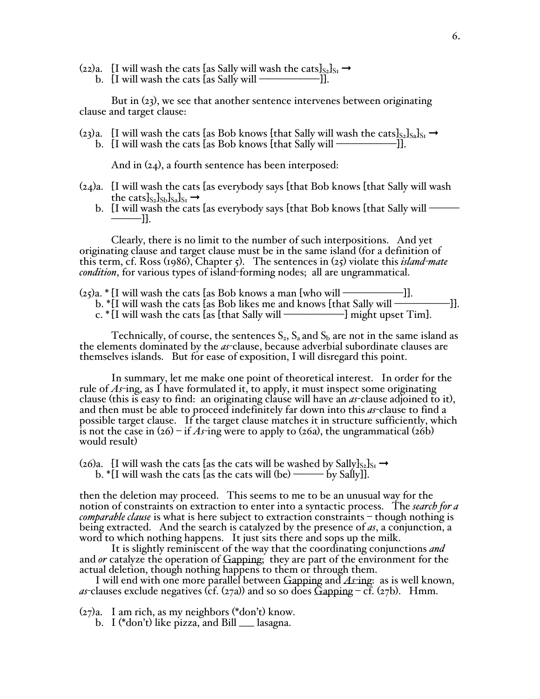(22)a. [I will wash the cats [as Sally will wash the cats] $_{S_2}$ ]<sub>S1</sub>  $\rightarrow$ b. [I will wash the cats [as Sally will ––––––––––––]].

But in (23), we see that another sentence intervenes between originating clause and target clause:

(23)a. [I will wash the cats [as Bob knows [that Sally will wash the cats] $s_2$ ] $s_3$ ] $s_1 \rightarrow$ b. [I will wash the cats [as Bob knows [that Sally will ––––––––––––]].

And in (24), a fourth sentence has been interposed:

- (24)a. [I will wash the cats [as everybody says [that Bob knows [that Sally will wash the cats] $s_2$ ] $s_1$ ] $s_1 \rightarrow$ 
	- b. [I will wash the cats [as everybody says [that Bob knows [that Sally will ––– ––––––]].

Clearly, there is no limit to the number of such interpositions. And yet originating clause and target clause must be in the same island (for a definition of this term, cf. Ross (1986), Chapter 5). The sentences in (25) violate this *island-mate condition*, for various types of island-forming nodes; all are ungrammatical.

 $(25)a.$  \* [I will wash the cats [as Bob knows a man [who will  $\rightarrow$ ––––––––––––]]. b. \*[I will wash the cats [as Bob likes me and knows [that Sally will –––––––––––]]. c.  $*\tilde{I}$  will wash the cats  $\tilde{I}$ as [that Sally will ———————————] might upset Tim].

Technically, of course, the sentences  $S_2$ ,  $S_3$  and  $S_b$  are not in the same island as the elements dominated by the *as*-clause, because adverbial subordinate clauses are themselves islands. But for ease of exposition, I will disregard this point.

In summary, let me make one point of theoretical interest. In order for the rule of *As*-ing, as I have formulated it, to apply, it must inspect some originating clause (this is easy to find: an originating clause will have an *as*-clause adjoined to it), and then must be able to proceed indefinitely far down into this *as*-clause to find a possible target clause. If the target clause matches it in structure sufficiently, which is not the case in  $(26)$  – if As-ing were to apply to  $(26a)$ , the ungrammatical  $(26b)$ would result)

(26)a. [I will wash the cats [as the cats will be washed by Sally $J_{S_2}J_{S_1} \rightarrow$ b.  $\mathbb{I}$  I will wash the cats [as the cats will (be) ——by Sally]].

then the deletion may proceed. This seems to me to be an unusual way for the notion of constraints on extraction to enter into a syntactic process. The *search for a comparable clause* is what is here subject to extraction constraints – though nothing is being extracted. And the search is catalyzed by the presence of *as*, a conjunction, a word to which nothing happens. It just sits there and sops up the milk.

It is slightly reminiscent of the way that the coordinating conjunctions *and*  and *or* catalyze the operation of Gapping; they are part of the environment for the actual deletion, though nothing happens to them or through them.

I will end with one more parallel between Gapping and *As-*ing: as is well known,  $a$ <sup>2</sup>-clauses exclude negatives (cf. (27a)) and so so does  $\tilde{G}$ apping – cf. (27b). Hmm.

(27)a. I am rich, as my neighbors (\*don't) know.

b. I (\*don't) like pizza, and Bill \_\_\_ lasagna.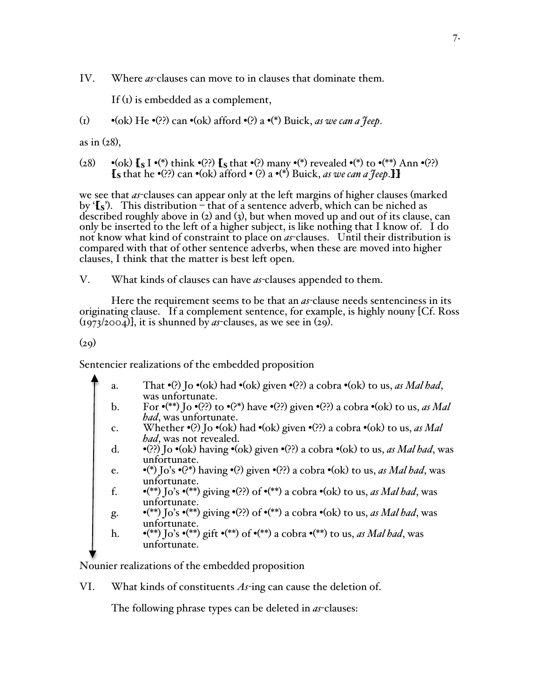IV. Where *as-*clauses can move to in clauses that dominate them.

If (1) is embedded as a complement,

(1) •(ok) He •(??) can •(ok) afford •(?) a •(\*) Buick, *as we can a Jeep*.

as in (28),

(28) •(ok)  $\{s \mid s \in \mathbb{N}\}$  think •(??)  $\{s \mid s \in \mathbb{N}\}$  many •(\*) revealed •(\*) to •(\*\*) Ann •(??)  $\{S \in \mathcal{S} \mid S \in \mathcal{S} \}$  (2?) can  $\bullet$  (ok) afford  $\bullet$  (?) a  $\bullet$  (\*) Buick, *as we can a Jeep*.

we see that *as*-clauses can appear only at the left margins of higher clauses (marked by  $\{s\}$ . This distribution – that of a sentence adverb, which can be niched as described roughly above in (2) and (3), but when moved up and out of its clause, can only be inserted to the left of a higher subject, is like nothing that I know of. I do not know what kind of constraint to place on *as*-clauses. Until their distribution is compared with that of other sentence adverbs, when these are moved into higher clauses, I think that the matter is best left open.

V. What kinds of clauses can have *as-*clauses appended to them.

Here the requirement seems to be that an *as-*clause needs sentenciness in its originating clause. If a complement sentence, for example, is highly nouny [Cf. Ross  $(1973/2004)$ , it is shunned by *as*-clauses, as we see in  $(29)$ .

 $(29)$ 

Sentencier realizations of the embedded proposition

- a. That  $\cdot$ (?) Jo  $\cdot$ (ok) had  $\cdot$ (ok) given  $\cdot$ (??) a cobra  $\cdot$ (ok) to us, *as Mal had*, was unfortunate.
- b. For •(\*\*) Jo •(??) to •(?\*) have •(??) given •(??) a cobra •(ok) to us, *as Mal had*, was unfortunate.
- c. Whether •(?) Jo •(ok) had •(ok) given •(??) a cobra •(ok) to us, *as Mal had*, was not revealed.
- d. •(??) Jo •(ok) having •(ok) given •(??) a cobra •(ok) to us, *as Mal had*, was unfortunate.
- e. •(\*) Jo's •(?\*) having •(?) given •(??) a cobra •(ok) to us, *as Mal had*, was unfortunate.
- f.  $\bullet$  (\*\*) Jo's  $\bullet$  (\*\*) giving  $\bullet$  (??) of  $\bullet$  (\*\*) a cobra  $\bullet$  (ok) to us, *as Mal had*, was unfortunate.
- g. •(\*\*) Jo's •(\*\*) giving •(??) of •(\*\*) a cobra •(ok) to us, *as Mal had*, was unfortunate.
- h. •(\*\*) Jo's •(\*\*) gift •(\*\*) of •(\*\*) a cobra •(\*\*) to us, *as Mal had*, was unfortunate.

Nounier realizations of the embedded proposition

VI. What kinds of constituents *As-*ing can cause the deletion of.

The following phrase types can be deleted in *as*-clauses: